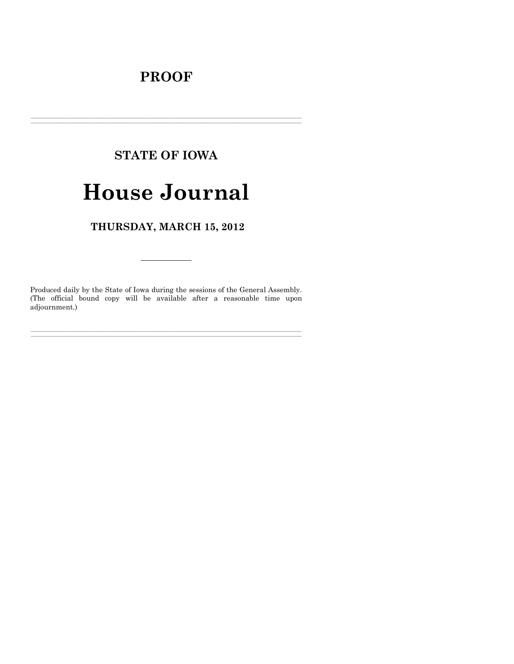# **PROOF**

# **STATE OF IOWA**

# **House Journal**

# THURSDAY, MARCH 15, 2012

Produced daily by the State of Iowa during the sessions of the General Assembly. (The official bound copy will be available after a reasonable time upon adjournment.)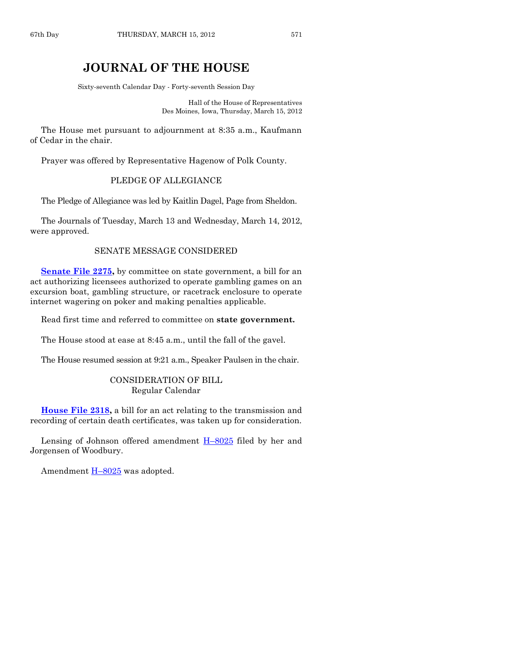# **JOURNAL OF THE HOUSE**

Sixty-seventh Calendar Day - Forty-seventh Session Day

Hall of the House of Representatives Des Moines, Iowa, Thursday, March 15, 2012

The House met pursuant to adjournment at 8:35 a.m., Kaufmann of Cedar in the chair.

Prayer was offered by Representative Hagenow of Polk County.

# PLEDGE OF ALLEGIANCE

The Pledge of Allegiance was led by Kaitlin Dagel, Page from Sheldon.

The Journals of Tuesday, March 13 and Wednesday, March 14, 2012, were approved.

# SENATE MESSAGE CONSIDERED

**[Senate File 2275,](http://coolice.legis.state.ia.us/Cool-ICE/default.asp?Category=billinfo&Service=Billbook&frame=1&GA=84&hbill=SF2275)** by committee on state government, a bill for an act authorizing licensees authorized to operate gambling games on an excursion boat, gambling structure, or racetrack enclosure to operate internet wagering on poker and making penalties applicable.

Read first time and referred to committee on **state government.**

The House stood at ease at 8:45 a.m., until the fall of the gavel.

The House resumed session at 9:21 a.m., Speaker Paulsen in the chair.

## CONSIDERATION OF BILL Regular Calendar

**[House File 2318,](http://coolice.legis.state.ia.us/Cool-ICE/default.asp?Category=billinfo&Service=Billbook&frame=1&GA=84&hbill=HF2318)** a bill for an act relating to the transmission and recording of certain death certificates, was taken up for consideration.

Lensing of Johnson offered amendment  $H-8025$  $H-8025$  filed by her and Jorgensen of Woodbury.

Amendment  $H-8025$  $H-8025$  was adopted.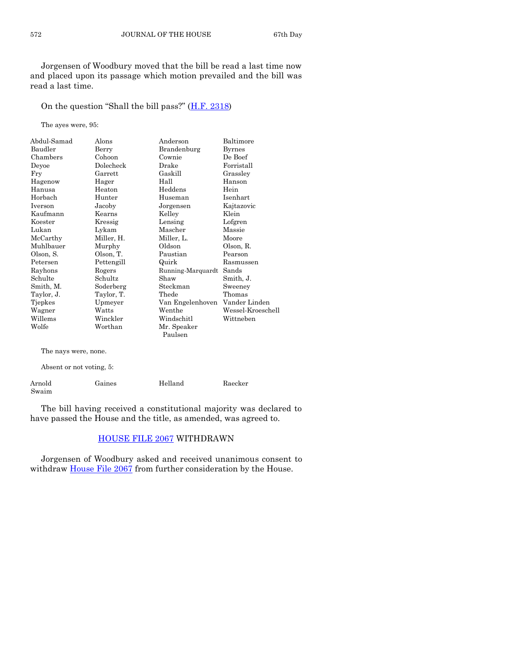Jorgensen of Woodbury moved that the bill be read a last time now and placed upon its passage which motion prevailed and the bill was read a last time.

On the question "Shall the bill pass?" ([H.F. 2318\)](http://coolice.legis.state.ia.us/Cool-ICE/default.asp?Category=billinfo&Service=Billbook&frame=1&GA=84&hbill=HF2318)

The ayes were, 95:

| Abdul-Samad | Alons      | Anderson          | Baltimore         |
|-------------|------------|-------------------|-------------------|
| Baudler     | Berry      | Brandenburg       | <b>Byrnes</b>     |
| Chambers    | Cohoon     | Cownie            | De Boef           |
| Deyoe       | Dolecheck  | Drake             | Forristall        |
| Fry         | Garrett    | Gaskill           | Grassley          |
| Hagenow     | Hager      | Hall              | Hanson            |
| Hanusa      | Heaton     | Heddens           | Hein              |
| Horbach     | Hunter     | Huseman           | Isenhart          |
| Iverson     | Jacoby     | Jorgensen         | Kajtazovic        |
| Kaufmann    | Kearns     | Kelley            | Klein             |
| Koester     | Kressig    | Lensing           | Lofgren           |
| Lukan       | Lykam      | Mascher           | Massie            |
| McCarthy    | Miller, H. | Miller, L.        | Moore             |
| Muhlbauer   | Murphy     | Oldson            | Olson, R.         |
| Olson, S.   | Olson, T.  | Paustian          | Pearson           |
| Petersen    | Pettengill | Quirk             | Rasmussen         |
| Rayhons     | Rogers     | Running-Marquardt | Sands             |
| Schulte     | Schultz    | Shaw              | Smith, J.         |
| Smith, M.   | Soderberg  | Steckman          | Sweeney           |
| Taylor, J.  | Taylor, T. | Thede             | Thomas            |
| Tjepkes     | Upmeyer    | Van Engelenhoven  | Vander Linden     |
| Wagner      | Watts      | Wenthe            | Wessel-Kroeschell |
| Willems     | Winckler   | Windschitl        | Wittneben         |
| Wolfe       | Worthan    | Mr. Speaker       |                   |
|             |            | Paulsen           |                   |

The nays were, none.

Absent or not voting, 5:

| Arnold | Gaines | Helland | Raecker |
|--------|--------|---------|---------|
| Swaim  |        |         |         |

The bill having received a constitutional majority was declared to have passed the House and the title, as amended, was agreed to.

# [HOUSE FILE 2067](http://coolice.legis.state.ia.us/Cool-ICE/default.asp?Category=billinfo&Service=Billbook&frame=1&GA=84&hbill=HF2067) WITHDRAWN

Jorgensen of Woodbury asked and received unanimous consent to withdraw [House File 2067](http://coolice.legis.state.ia.us/Cool-ICE/default.asp?Category=billinfo&Service=Billbook&frame=1&GA=84&hbill=HF2067) from further consideration by the House.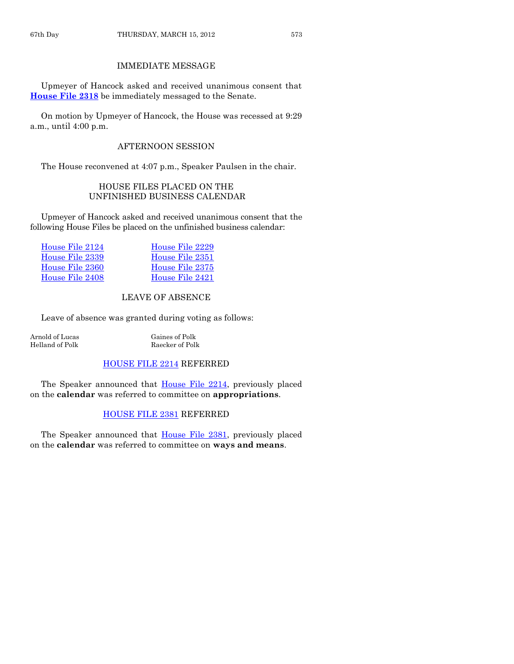# IMMEDIATE MESSAGE

Upmeyer of Hancock asked and received unanimous consent that **[House File 2318](http://coolice.legis.state.ia.us/Cool-ICE/default.asp?Category=billinfo&Service=Billbook&frame=1&GA=84&hbill=HF2318)** be immediately messaged to the Senate.

On motion by Upmeyer of Hancock, the House was recessed at 9:29 a.m., until 4:00 p.m.

# AFTERNOON SESSION

The House reconvened at 4:07 p.m., Speaker Paulsen in the chair.

# HOUSE FILES PLACED ON THE UNFINISHED BUSINESS CALENDAR

Upmeyer of Hancock asked and received unanimous consent that the following House Files be placed on the unfinished business calendar:

| House File 2124 | House File 2229 |
|-----------------|-----------------|
| House File 2339 | House File 2351 |
| House File 2360 | House File 2375 |
| House File 2408 | House File 2421 |

# LEAVE OF ABSENCE

Leave of absence was granted during voting as follows:

Arnold of Lucas<br>Helland of Polk (Gaines of Polk (Gaines of Polk (Gaines of Polk (Gaines of Polk (Gaines of Polk (Gaines of Pol

Raecker of Polk

# [HOUSE FILE 2214](http://coolice.legis.state.ia.us/Cool-ICE/default.asp?Category=billinfo&Service=Billbook&frame=1&GA=84&hbill=HF2214) REFERRED

The Speaker announced that [House File 2214,](http://coolice.legis.state.ia.us/Cool-ICE/default.asp?Category=billinfo&Service=Billbook&frame=1&GA=84&hbill=HF2214) previously placed on the **calendar** was referred to committee on **appropriations**.

# [HOUSE FILE 2381](http://coolice.legis.state.ia.us/Cool-ICE/default.asp?Category=billinfo&Service=Billbook&frame=1&GA=84&hbill=HF2381) REFERRED

The Speaker announced that **House File 2381**, previously placed on the **calendar** was referred to committee on **ways and means**.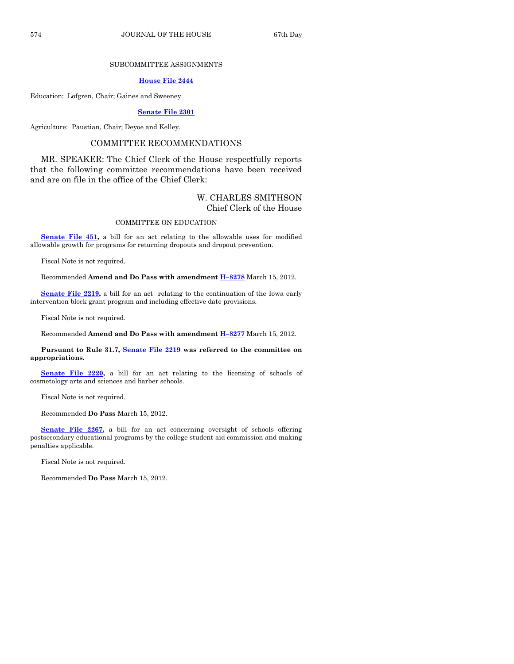### SUBCOMMITTEE ASSIGNMENTS

#### **[House File 2444](http://coolice.legis.state.ia.us/Cool-ICE/default.asp?Category=billinfo&Service=Billbook&frame=1&GA=84&hbill=HF2444)**

Education: Lofgren, Chair; Gaines and Sweeney.

#### **[Senate File 2301](http://coolice.legis.state.ia.us/Cool-ICE/default.asp?Category=billinfo&Service=Billbook&frame=1&GA=84&hbill=SF2301)**

Agriculture: Paustian, Chair; Deyoe and Kelley.

## COMMITTEE RECOMMENDATIONS

MR. SPEAKER: The Chief Clerk of the House respectfully reports that the following committee recommendations have been received and are on file in the office of the Chief Clerk:

## W. CHARLES SMITHSON Chief Clerk of the House

#### COMMITTEE ON EDUCATION

**[Senate File 451,](http://coolice.legis.state.ia.us/Cool-ICE/default.asp?Category=billinfo&Service=Billbook&frame=1&GA=84&hbill=SF451)** a bill for an act relating to the allowable uses for modified allowable growth for programs for returning dropouts and dropout prevention.

Fiscal Note is not required.

Recommended **Amend and Do Pass with amendment H–[8278](http://coolice.legis.state.ia.us/Cool-ICE/default.asp?Category=billinfo&Service=Billbook&frame=1&GA=84&hbill=H8278)** March 15, 2012.

**[Senate File 2219,](http://coolice.legis.state.ia.us/Cool-ICE/default.asp?Category=billinfo&Service=Billbook&frame=1&GA=84&hbill=SF2219)** a bill for an act relating to the continuation of the Iowa early intervention block grant program and including effective date provisions.

Fiscal Note is not required.

Recommended **Amend and Do Pass with amendment H–[8277](http://coolice.legis.state.ia.us/Cool-ICE/default.asp?Category=billinfo&Service=Billbook&frame=1&GA=84&hbill=H8277)** March 15, 2012.

**Pursuant to Rule 31.7, [Senate File 2219](http://coolice.legis.state.ia.us/Cool-ICE/default.asp?Category=billinfo&Service=Billbook&frame=1&GA=84&hbill=SF2219) was referred to the committee on appropriations.**

**[Senate File 2220,](http://coolice.legis.state.ia.us/Cool-ICE/default.asp?Category=billinfo&Service=Billbook&frame=1&GA=84&hbill=SF2220)** a bill for an act relating to the licensing of schools of cosmetology arts and sciences and barber schools.

Fiscal Note is not required.

Recommended **Do Pass** March 15, 2012.

**[Senate File 2267,](http://coolice.legis.state.ia.us/Cool-ICE/default.asp?Category=billinfo&Service=Billbook&frame=1&GA=84&hbill=SF2267)** a bill for an act concerning oversight of schools offering postsecondary educational programs by the college student aid commission and making penalties applicable.

Fiscal Note is not required.

Recommended **Do Pass** March 15, 2012.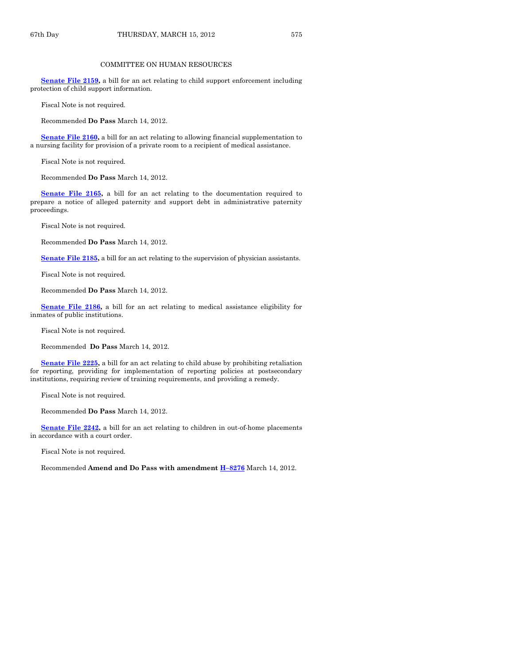#### COMMITTEE ON HUMAN RESOURCES

**[Senate File 2159,](http://coolice.legis.state.ia.us/Cool-ICE/default.asp?Category=billinfo&Service=Billbook&frame=1&GA=84&hbill=SF2159)** a bill for an act relating to child support enforcement including protection of child support information.

Fiscal Note is not required.

Recommended **Do Pass** March 14, 2012.

**[Senate File 2160,](http://coolice.legis.state.ia.us/Cool-ICE/default.asp?Category=billinfo&Service=Billbook&frame=1&GA=84&hbill=SF2160)** a bill for an act relating to allowing financial supplementation to a nursing facility for provision of a private room to a recipient of medical assistance.

Fiscal Note is not required.

Recommended **Do Pass** March 14, 2012.

**[Senate File 2165,](http://coolice.legis.state.ia.us/Cool-ICE/default.asp?Category=billinfo&Service=Billbook&frame=1&GA=84&hbill=SF2165)** a bill for an act relating to the documentation required to prepare a notice of alleged paternity and support debt in administrative paternity proceedings.

Fiscal Note is not required.

Recommended **Do Pass** March 14, 2012.

**[Senate File 2185,](http://coolice.legis.state.ia.us/Cool-ICE/default.asp?Category=billinfo&Service=Billbook&frame=1&GA=84&hbill=SF2185)** a bill for an act relating to the supervision of physician assistants.

Fiscal Note is not required.

Recommended **Do Pass** March 14, 2012.

**[Senate File 2186,](http://coolice.legis.state.ia.us/Cool-ICE/default.asp?Category=billinfo&Service=Billbook&frame=1&GA=84&hbill=SF2186)** a bill for an act relating to medical assistance eligibility for inmates of public institutions.

Fiscal Note is not required.

Recommended **Do Pass** March 14, 2012.

**[Senate File 2225,](http://coolice.legis.state.ia.us/Cool-ICE/default.asp?Category=billinfo&Service=Billbook&frame=1&GA=84&hbill=SF2225)** a bill for an act relating to child abuse by prohibiting retaliation for reporting, providing for implementation of reporting policies at postsecondary institutions, requiring review of training requirements, and providing a remedy.

Fiscal Note is not required.

Recommended **Do Pass** March 14, 2012.

**[Senate File 2242,](http://coolice.legis.state.ia.us/Cool-ICE/default.asp?Category=billinfo&Service=Billbook&frame=1&GA=84&hbill=SF2242)** a bill for an act relating to children in out-of-home placements in accordance with a court order.

Fiscal Note is not required.

Recommended **Amend and Do Pass with amendment H–[8276](http://coolice.legis.state.ia.us/Cool-ICE/default.asp?Category=billinfo&Service=Billbook&frame=1&GA=84&hbill=H8276)** March 14, 2012.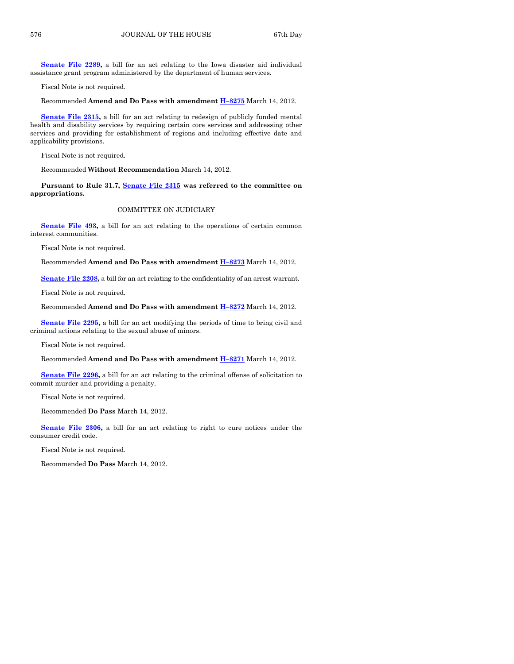**[Senate File 2289,](http://coolice.legis.state.ia.us/Cool-ICE/default.asp?Category=billinfo&Service=Billbook&frame=1&GA=84&hbill=SF2289)** a bill for an act relating to the Iowa disaster aid individual assistance grant program administered by the department of human services.

Fiscal Note is not required.

Recommended **Amend and Do Pass with amendment H–[8275](http://coolice.legis.state.ia.us/Cool-ICE/default.asp?Category=billinfo&Service=Billbook&frame=1&GA=84&hbill=H8275)** March 14, 2012.

**[Senate File 2315,](http://coolice.legis.state.ia.us/Cool-ICE/default.asp?Category=billinfo&Service=Billbook&frame=1&GA=84&hbill=SF2315)** a bill for an act relating to redesign of publicly funded mental health and disability services by requiring certain core services and addressing other services and providing for establishment of regions and including effective date and applicability provisions.

Fiscal Note is not required.

Recommended **Without Recommendation** March 14, 2012.

**Pursuant to Rule 31.7, [Senate File 2315](http://coolice.legis.state.ia.us/Cool-ICE/default.asp?Category=billinfo&Service=Billbook&frame=1&GA=84&hbill=SF2315) was referred to the committee on appropriations.**

#### COMMITTEE ON JUDICIARY

**[Senate File 493,](http://coolice.legis.state.ia.us/Cool-ICE/default.asp?Category=billinfo&Service=Billbook&frame=1&GA=84&hbill=SF493)** a bill for an act relating to the operations of certain common interest communities.

Fiscal Note is not required.

Recommended **Amend and Do Pass with amendment H–[8273](http://coolice.legis.state.ia.us/Cool-ICE/default.asp?Category=billinfo&Service=Billbook&frame=1&GA=84&hbill=H8273)** March 14, 2012.

**[Senate File 2208,](http://coolice.legis.state.ia.us/Cool-ICE/default.asp?Category=billinfo&Service=Billbook&frame=1&GA=84&hbill=SF2208)** a bill for an act relating to the confidentiality of an arrest warrant.

Fiscal Note is not required.

Recommended **Amend and Do Pass with amendment H–[8272](http://coolice.legis.state.ia.us/Cool-ICE/default.asp?Category=billinfo&Service=Billbook&frame=1&GA=84&hbill=H8272)** March 14, 2012.

**[Senate File 2295,](http://coolice.legis.state.ia.us/Cool-ICE/default.asp?Category=billinfo&Service=Billbook&frame=1&GA=84&hbill=SF2295)** a bill for an act modifying the periods of time to bring civil and criminal actions relating to the sexual abuse of minors.

Fiscal Note is not required.

Recommended **Amend and Do Pass with amendment H–[8271](http://coolice.legis.state.ia.us/Cool-ICE/default.asp?Category=billinfo&Service=Billbook&frame=1&GA=84&hbill=H8271)** March 14, 2012.

**[Senate File 2296,](http://coolice.legis.state.ia.us/Cool-ICE/default.asp?Category=billinfo&Service=Billbook&frame=1&GA=84&hbill=SF2296)** a bill for an act relating to the criminal offense of solicitation to commit murder and providing a penalty.

Fiscal Note is not required.

Recommended **Do Pass** March 14, 2012.

**[Senate File 2306,](http://coolice.legis.state.ia.us/Cool-ICE/default.asp?Category=billinfo&Service=Billbook&frame=1&GA=84&hbill=SF2306)** a bill for an act relating to right to cure notices under the consumer credit code.

Fiscal Note is not required.

Recommended **Do Pass** March 14, 2012.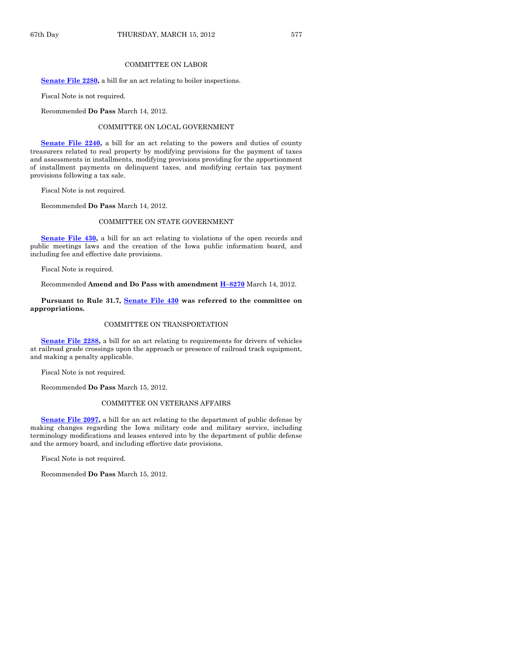#### COMMITTEE ON LABOR

**[Senate File 2280,](http://coolice.legis.state.ia.us/Cool-ICE/default.asp?Category=billinfo&Service=Billbook&frame=1&GA=84&hbill=SF2280)** a bill for an act relating to boiler inspections.

Fiscal Note is not required.

Recommended **Do Pass** March 14, 2012.

#### COMMITTEE ON LOCAL GOVERNMENT

**Senate File 2240**, a bill for an act relating to the powers and duties of county treasurers related to real property by modifying provisions for the payment of taxes and assessments in installments, modifying provisions providing for the apportionment of installment payments on delinquent taxes, and modifying certain tax payment provisions following a tax sale.

Fiscal Note is not required.

Recommended **Do Pass** March 14, 2012.

#### COMMITTEE ON STATE GOVERNMENT

**[Senate File 430,](http://coolice.legis.state.ia.us/Cool-ICE/default.asp?Category=billinfo&Service=Billbook&frame=1&GA=84&hbill=SF430)** a bill for an act relating to violations of the open records and public meetings laws and the creation of the Iowa public information board, and including fee and effective date provisions.

Fiscal Note is required.

Recommended **Amend and Do Pass with amendment H–[8270](http://coolice.legis.state.ia.us/Cool-ICE/default.asp?Category=billinfo&Service=Billbook&frame=1&GA=84&hbill=H8270)** March 14, 2012.

#### **Pursuant to Rule 31.7, [Senate File 430](http://coolice.legis.state.ia.us/Cool-ICE/default.asp?Category=billinfo&Service=Billbook&frame=1&GA=84&hbill=SF430) was referred to the committee on appropriations.**

#### COMMITTEE ON TRANSPORTATION

**[Senate File 2288,](http://coolice.legis.state.ia.us/Cool-ICE/default.asp?Category=billinfo&Service=Billbook&frame=1&GA=84&hbill=SF2288)** a bill for an act relating to requirements for drivers of vehicles at railroad grade crossings upon the approach or presence of railroad track equipment, and making a penalty applicable.

Fiscal Note is not required.

Recommended **Do Pass** March 15, 2012.

#### COMMITTEE ON VETERANS AFFAIRS

**[Senate File 2097,](http://coolice.legis.state.ia.us/Cool-ICE/default.asp?Category=billinfo&Service=Billbook&frame=1&GA=84&hbill=SF2097)** a bill for an act relating to the department of public defense by making changes regarding the Iowa military code and military service, including terminology modifications and leases entered into by the department of public defense and the armory board, and including effective date provisions.

Fiscal Note is not required.

Recommended **Do Pass** March 15, 2012.